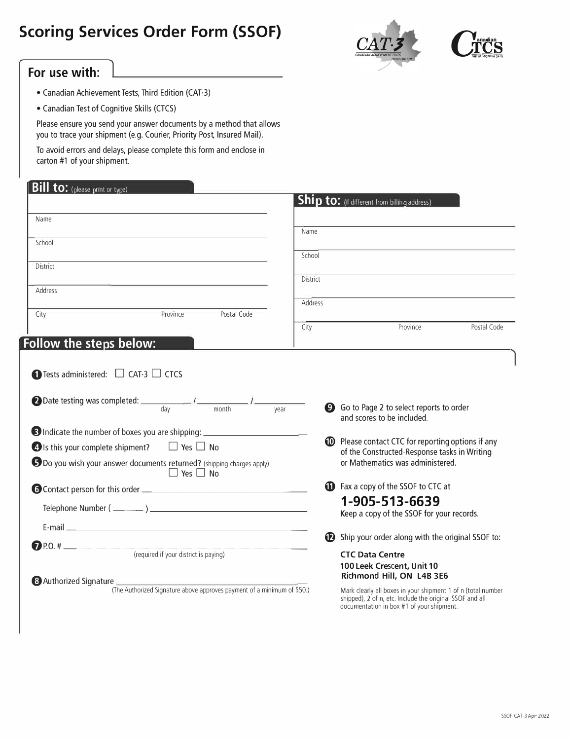## **Scoring Services Order Form (SSOF)**





## **For use with:**

- Canadian Achievement Tests, Third Edition (CAT-3)
- Canadian Test of Cognitive Skills (CTCS)

Please ensure you send your answer documents by a method that allows you to trace your shipment (e.g. Courier, Priority Post, Insured Mail).

To avoid errors and delays, please complete this form and enclose in carton #1 of your shipment.

| <b>Bill to:</b> (please print or type)                                                                   |                 |                                                                                                           |  |
|----------------------------------------------------------------------------------------------------------|-----------------|-----------------------------------------------------------------------------------------------------------|--|
|                                                                                                          |                 | <b>Ship to:</b> (if different from billing address)                                                       |  |
| Name                                                                                                     |                 |                                                                                                           |  |
| School                                                                                                   | Name            |                                                                                                           |  |
|                                                                                                          | School          |                                                                                                           |  |
| District                                                                                                 | <b>District</b> |                                                                                                           |  |
| Address                                                                                                  |                 |                                                                                                           |  |
| Province<br>Postal Code<br>City                                                                          | Address         |                                                                                                           |  |
|                                                                                                          | City            | Postal Code<br>Province                                                                                   |  |
| Follow the steps below:                                                                                  |                 |                                                                                                           |  |
|                                                                                                          |                 | g Go to Page 2 to select reports to order                                                                 |  |
|                                                                                                          |                 | and scores to be included.                                                                                |  |
| 39 Indicate the number of boxes you are shipping: ______________________________                         |                 |                                                                                                           |  |
| $\bigcirc$ Is this your complete shipment? $\Box$ Yes $\Box$ No                                          |                 | <b>ID</b> Please contact CTC for reporting options if any<br>of the Constructed-Response tasks in Writing |  |
| 5 Do you wish your answer documents returned? (shipping charges apply)<br>$\Box$ Yes $\Box$ No           |                 | or Mathematics was administered.                                                                          |  |
|                                                                                                          |                 | <b>1</b> Fax a copy of the SSOF to CTC at                                                                 |  |
|                                                                                                          |                 | 1-905-513-6639                                                                                            |  |
|                                                                                                          |                 | Keep a copy of the SSOF for your records.                                                                 |  |
|                                                                                                          |                 |                                                                                                           |  |
| the company of the company of<br>(required if your district is paying)                                   |                 |                                                                                                           |  |
|                                                                                                          |                 | Ship your order along with the original SSOF to:<br><b>CTC Data Centre</b>                                |  |
|                                                                                                          |                 | 100 Leek Crescent, Unit 10                                                                                |  |
| <b>8</b> Authorized Signature<br>(The Authorized Signature above approves payment of a minimum of \$50.) |                 | Richmond Hill, ON L4B 3E6<br>Mark clearly all boxes in your shipment 1 of n (total number                 |  |